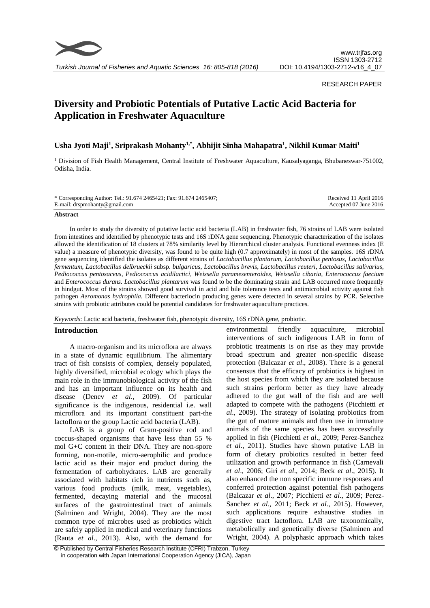

*Turkish Journal of Fisheries and Aquatic Sciences 16: 805-818 (2016)*

## RESEARCH PAPER

# **Diversity and Probiotic Potentials of Putative Lactic Acid Bacteria for Application in Freshwater Aquaculture**

## **Usha Jyoti Maji<sup>1</sup> , Sriprakash Mohanty1,\*, Abhijit Sinha Mahapatra<sup>1</sup> , Nikhil Kumar Maiti<sup>1</sup>**

<sup>1</sup> Division of Fish Health Management, Central Institute of Freshwater Aquaculture, Kausalyaganga, Bhubaneswar-751002, Odisha, India.

| * Corresponding Author: Tel.: 91.674 2465421; Fax: 91.674 2465407; | Received 11 April 2016 |
|--------------------------------------------------------------------|------------------------|
| E-mail: drspmohanty@gmail.com                                      | Accepted 07 June 2016  |

#### **Abstract**

In order to study the diversity of putative lactic acid bacteria (LAB) in freshwater fish, 76 strains of LAB were isolated from intestines and identified by phenotypic tests and 16S rDNA gene sequencing. Phenotypic characterization of the isolates allowed the identification of 18 clusters at 78% similarity level by Hierarchical cluster analysis. Functional evenness index (E value) a measure of phenotypic diversity, was found to be quite high (0.7 approximately) in most of the samples. 16S rDNA gene sequencing identified the isolates as different strains of *Lactobacillus plantarum*, *Lactobacillus pentosus*, *Lactobacillus fermentum*, *Lactobacillus delbrueckii* subsp. *bulgaricus*, *Lactobacillus brevis*, *Lactobacillus reuteri*, *Lactobacillus salivarius*, *Pediococcus pentosaceus*, *Pediococcus acidilactici*, *Weissella paramesenteroides*, *Weissella cibaria*, *Enterococcus faecium* and *Enterococcus durans. Lactobacillus plantarum* was found to be the dominating strain and LAB occurred more frequently in hindgut. Most of the strains showed good survival in acid and bile tolerance tests and antimicrobial activity against fish pathogen *Aeromonas hydrophila.* Different bacteriocin producing genes were detected in several strains by PCR. Selective strains with probiotic attributes could be potential candidates for freshwater aquaculture practices.

*Keywords*: Lactic acid bacteria, freshwater fish, phenotypic diversity, 16S rDNA gene, probiotic.

## **Introduction**

A macro-organism and its microflora are always in a state of dynamic equilibrium. The alimentary tract of fish consists of complex, densely populated, highly diversified, microbial ecology which plays the main role in the immunobiological activity of the fish and has an important influence on its health and disease (Denev *et al*., 2009). Of particular significance is the indigenous, residential i.e. wall microflora and its important constituent part-the lactoflora or the group Lactic acid bacteria (LAB).

LAB is a group of Gram-positive rod and coccus-shaped organisms that have less than 55 % mol G+C content in their DNA. They are non-spore forming, non-motile, micro-aerophilic and produce lactic acid as their major end product during the fermentation of carbohydrates. LAB are generally associated with habitats rich in nutrients such as, various food products (milk, meat, vegetables), fermented, decaying material and the mucosal surfaces of the gastrointestinal tract of animals (Salminen and Wright, 2004). They are the most common type of microbes used as probiotics which are safely applied in medical and veterinary functions (Rauta *et al*., 2013). Also, with the demand for

environmental friendly aquaculture, microbial interventions of such indigenous LAB in form of probiotic treatments is on rise as they may provide broad spectrum and greater non-specific disease protection (Balcazar *et al*., 2008). There is a general consensus that the efficacy of probiotics is highest in the host species from which they are isolated because such strains perform better as they have already adhered to the gut wall of the fish and are well adapted to compete with the pathogens (Picchietti *et al*., 2009). The strategy of isolating probiotics from the gut of mature animals and then use in immature animals of the same species has been successfully applied in fish (Picchietti *et al*., 2009; Perez-Sanchez *et al*., 2011). Studies have shown putative LAB in form of dietary probiotics resulted in better feed utilization and growth performance in fish (Carnevali *et al*., 2006; Giri *et al*., 2014; Beck *et al*., 2015). It also enhanced the non specific immune responses and conferred protection against potential fish pathogens (Balcazar *et al*., 2007; Picchietti *et al*., 2009; Perez-Sanchez *et al*., 2011; Beck *et al*., 2015). However, such applications require exhaustive studies in digestive tract lactoflora. LAB are taxonomically, metabolically and genetically diverse (Salminen and Wright, 2004). A polyphasic approach which takes

<sup>©</sup> Published by Central Fisheries Research Institute (CFRI) Trabzon, Turkey in cooperation with Japan International Cooperation Agency (JICA), Japan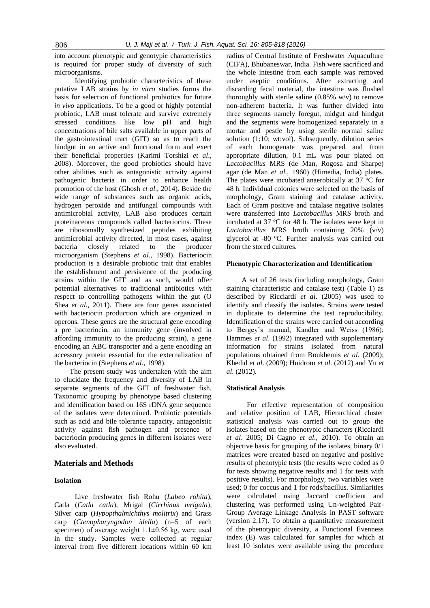into account phenotypic and genotypic characteristics is required for proper study of diversity of such microorganisms.

Identifying probiotic characteristics of these putative LAB strains by *in vitro* studies forms the basis for selection of functional probiotics for future *in vivo* applications. To be a good or highly potential probiotic, LAB must tolerate and survive extremely stressed conditions like low pH and high concentrations of bile salts available in upper parts of the gastrointestinal tract (GIT) so as to reach the hindgut in an active and functional form and exert their beneficial properties (Karimi Torshizi *et al*., 2008). Moreover, the good probiotics should have other abilities such as antagonistic activity against pathogenic bacteria in order to enhance health promotion of the host (Ghosh *et al*., 2014). Beside the wide range of substances such as organic acids, hydrogen peroxide and antifungal compounds with antimicrobial activity, LAB also produces certain proteinaceous compounds called bacteriocins. These are ribosomally synthesized peptides exhibiting antimicrobial activity directed, in most cases, against bacteria closely related to the producer microorganism (Stephens *et al*., 1998). Bacteriocin production is a desirable probiotic trait that enables the establishment and persistence of the producing strains within the GIT and as such, would offer potential alternatives to traditional antibiotics with respect to controlling pathogens within the gut (O Shea *et al*., 2011). There are four genes associated with bacteriocin production which are organized in operons. These genes are the structural gene encoding a pre bacteriocin, an immunity gene (involved in affording immunity to the producing strain), a gene encoding an ABC transporter and a gene encoding an accessory protein essential for the externalization of the bacteriocin (Stephens *et al*., 1998).

The present study was undertaken with the aim to elucidate the frequency and diversity of LAB in separate segments of the GIT of freshwater fish. Taxonomic grouping by phenotype based clustering and identification based on 16S rDNA gene sequence of the isolates were determined. Probiotic potentials such as acid and bile tolerance capacity, antagonistic activity against fish pathogen and presence of bacteriocin producing genes in different isolates were also evaluated.

## **Materials and Methods**

## **Isolation**

Live freshwater fish Rohu (*Labeo rohita*), Catla (*Catla catla*), Mrigal (*Cirrhinus mrigala*)*,*  Silver carp (*Hypopthalmichthys molitrix*) and Grass carp (*Ctenopharyngodon idella*) (n=5 of each specimen) of average weight  $1.1\pm0.56$  kg, were used in the study. Samples were collected at regular interval from five different locations within 60 km

radius of Central Institute of Freshwater Aquaculture (CIFA), Bhubaneswar, India. Fish were sacrificed and the whole intestine from each sample was removed under aseptic conditions. After extracting and discarding fecal material, the intestine was flushed thoroughly with sterile saline  $(0.85\% \text{ w/v})$  to remove non-adherent bacteria. It was further divided into three segments namely foregut, midgut and hindgut and the segments were homogenized separately in a mortar and pestle by using sterile normal saline solution (1:10; wt:vol). Subsequently, dilution series of each homogenate was prepared and from appropriate dilution, 0.1 mL was pour plated on *Lactobacillus* MRS (de Man, Rogosa and Sharpe) agar (de Man *et al*., 1960) (Himedia, India) plates. The plates were incubated anaerobically at  $37 \text{ °C}$  for 48 h. Individual colonies were selected on the basis of morphology, Gram staining and catalase activity. Each of Gram positive and catalase negative isolates were transferred into *Lactobacillus* MRS broth and incubated at 37  $\mathrm{^{\circ}C}$  for 48 h. The isolates were kept in *Lactobacillus* MRS broth containing 20% (v/v) glycerol at -80 °C. Further analysis was carried out from the stored cultures.

#### **Phenotypic Characterization and Identification**

A set of 26 tests (including morphology, Gram staining characteristic and catalase test) (Table 1) as described by Ricciardi *et al*. (2005) was used to identify and classify the isolates. Strains were tested in duplicate to determine the test reproducibility. Identification of the strains were carried out according to Bergey's manual, Kandler and Weiss (1986); Hammes *et al*. (1992) integrated with supplementary information for strains isolated from natural populations obtained from Boukhemis *et al*. (2009); Khedid *et al*. (2009); Huidrom *et al*. (2012) and Yu *et al*. (2012).

#### **Statistical Analysis**

For effective representation of composition and relative position of LAB, Hierarchical cluster statistical analysis was carried out to group the isolates based on the phenotypic characters (Ricciardi *et al*. 2005; Di Cagno *et al*., 2010). To obtain an objective basis for grouping of the isolates, binary 0/1 matrices were created based on negative and positive results of phenotypic tests (the results were coded as 0 for tests showing negative results and 1 for tests with positive results). For morphology, two variables were used; 0 for coccus and 1 for rods/bacillus. Similarities were calculated using Jaccard coefficient and clustering was performed using Un-weighted Pair-Group Average Linkage Analysis in PAST software (version 2.17). To obtain a quantitative measurement of the phenotypic diversity, a Functional Evenness index (E) was calculated for samples for which at least 10 isolates were available using the procedure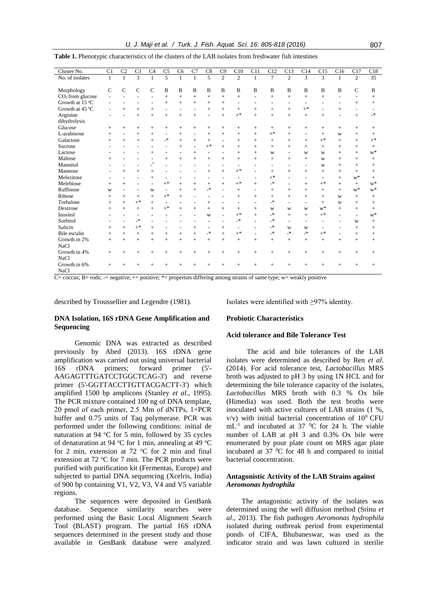*U. J. Maji et al. / Turk. J. Fish. Aquat. Sci. 16: 805-818 (2016)* 807

| Cluster No.        | C1           | C <sub>2</sub>           | C <sub>3</sub>           | C <sub>4</sub>                     | C <sub>5</sub>           | C <sub>6</sub> | C7             | C8                       | C9                       | C10                      | C11            | C12            | C13            | C14                      | C15                      | C16    | C17            | C18             |
|--------------------|--------------|--------------------------|--------------------------|------------------------------------|--------------------------|----------------|----------------|--------------------------|--------------------------|--------------------------|----------------|----------------|----------------|--------------------------|--------------------------|--------|----------------|-----------------|
| No. of isolates    | $\mathbf{1}$ | 1                        | $\overline{3}$           | 1                                  | 5                        | 1              | $\mathbf{1}$   | 5                        | $\overline{2}$           | $\overline{c}$           | $\mathbf{1}$   | $\tau$         | $\overline{2}$ | 3                        | 3                        | 1      | 2              | $\overline{35}$ |
|                    |              |                          |                          |                                    |                          |                |                |                          |                          |                          |                |                |                |                          |                          |        |                |                 |
| Morphology         | $\mathbf C$  | $\mathsf{C}$             | $\mathbf C$              | $\mathcal{C}$                      | B                        | B              | B              | B                        | B                        | $\mathbf B$              | B              | B              | $\bf{B}$       | $\mathbf B$              | B                        | B      | $\mathsf{C}$   | B               |
| $CO2$ from glucose |              |                          |                          |                                    | $^{+}$                   | $^{+}$         | $^{+}$         | $^{+}$                   | $+$                      | $^{+}$                   |                | $^{+}$         | $^{+}$         | $^{+}$                   | $+$                      |        |                | $^{+}$          |
| Growth at 15 °C    |              |                          |                          |                                    | $^{+}$                   | $^{+}$         | $^{+}$         | $+$                      | $+$                      | $\blacksquare$           |                |                |                |                          |                          |        | $^{+}$         | $^{+}$          |
| Growth at 45 °C    |              | $^{+}$                   | $^{+}$                   | $^{+}$                             |                          | $\overline{a}$ |                | $\ddot{}$                | $+$                      | $^{+}$                   | $^{+}$         | $^{+}$         | $^{+}$         | $+$ *                    |                          | $^{+}$ |                |                 |
| Arginine           |              |                          | $^{+}$                   | $^{+}$                             | $^{+}$                   | $^{+}$         | $^{+}$         |                          | $+$                      | $+$ *                    | $^{+}$         | $^{+}$         | $^{+}$         | $^{+}$                   | $^{+}$                   |        | $^{+}$         | $\rightarrow$   |
| dihydrolysis       |              |                          |                          |                                    |                          |                |                |                          |                          |                          |                |                |                |                          |                          |        |                |                 |
| Glucose            | $^{+}$       | $^{+}$                   | $^{+}$                   | $^{+}$                             | $^{+}$                   | $+$            | $^{+}$         | $^{+}$                   | $+$                      | $^{+}$                   | $^{+}$         | $+$            | $^{+}$         | $^{+}$                   | $+$                      | $^{+}$ |                | $^{+}$          |
| L-arabinose        | $^{+}$       | $\overline{\phantom{a}}$ | $^{+}$                   | $^{+}$                             | $\overline{\phantom{a}}$ | $^{+}$         | $\overline{a}$ | $^{+}$                   | $+$                      | $^{+}$                   | $^{+}$         | $+$ *          | $+$            |                          | $+$                      | W      | $^{+}$         | $^{+}$          |
| Galactose          |              | $^{+}$                   | $^{+}$                   | $^{+}$                             | $\mathbf{R}^*$           | $^{+}$         | $^{+}$         | $^{+}$                   | $\tilde{\phantom{a}}$    | $^{+}$                   | $^{+}$         | $^{+}$         | $^{+}$         | $^{+}$                   | $+$ *                    | $+$    |                | $+^*$           |
| Sucrose            |              |                          |                          |                                    |                          | $+$            |                | $+$ *                    | $+$                      | $^{+}$                   | $^{+}$         | $^{+}$         | $^{+}$         | $^{+}$                   | $+$                      | $^{+}$ | $^{+}$         | $^{+}$          |
| Lactose            |              |                          |                          | $^{+}$                             |                          |                | $^{+}$         |                          |                          | $^{+}$                   | $^{+}$         | W              |                | W                        | W                        | $+$    | $^{+}$         | $\mathbf{w}^*$  |
| Maltose            |              |                          |                          |                                    | $^{+}$                   | $^{+}$         | $+$            | $^{+}$                   | $+$                      | $^{+}$                   | $^{+}$         | $^{+}$         | $^{+}$         | $^{+}$                   | W                        | $^{+}$ | $^{+}$         | $^{+}$          |
| Mannitol           |              |                          |                          | $\ast$<br>$\overline{\phantom{a}}$ |                          |                |                |                          | ۰                        |                          |                | ۰              |                | ۰                        | W                        | $^{+}$ |                | $^{+}$          |
| Mannose            |              | $^{+}$                   | $^{+}$                   | $^{+}$                             |                          |                |                | $^{+}$                   | $+$                      | $+$ *                    |                | $^{+}$         | $^{+}$         | $^{+}$                   | $+$                      | $^{+}$ | $^{+}$         | $^{+}$          |
| Melezitose         |              |                          |                          | $^{+}$                             |                          |                |                |                          |                          | $\blacksquare$           |                | $+$ *          |                | $\overline{\phantom{a}}$ | $\overline{\phantom{0}}$ | $^{+}$ | $W^*$          | $^{+}$          |
| Melebiose          | $^{+}$       | $+$                      |                          | $\overline{a}$                     | $+^*$                    | $^{+}$         | $^{+}$         | $^{+}$                   | $+$                      | $+$ *                    | $^{+}$         | $\mathbf{R}^*$ |                | $+$                      | $+$ *                    | $^{+}$ | $^{+}$         | $\mathbf{w}^*$  |
| Raffinose          | W            |                          | $\overline{\phantom{a}}$ | W                                  | $\overline{\phantom{a}}$ | $+$            | $+$            | $\mathbf{R}^*$           | $\overline{\phantom{a}}$ | $^{+}$                   | $\overline{a}$ | $^{+}$         | $^{+}$         | $^{+}$                   | $+$                      | $+$    | $\mathbf{w}^*$ | $w^*$           |
| Ribose             |              | $^{+}$                   | $+$                      | $^{+}$                             | $+^*$                    | $+$            |                | $\overline{a}$           | $\overline{\phantom{0}}$ | $^{+}$                   | $^{+}$         | $+$            | $^{+}$         | $^{+}$                   | $+$                      | W      | $^{+}$         | $^{+}$          |
| Trehalose          | $^{+}$       | $^{+}$                   | $+$ *                    | $^{+}$                             |                          |                |                | $^{+}$                   |                          |                          |                | $\rightarrow$  |                |                          | $+$                      | W      | $^{+}$         | $^{+}$          |
| Dextrose           |              | $+$                      | $+$                      | $^{+}$                             | $+^*$                    | $+$            | $+$            | $^{+}$                   | $+$                      | $^{+}$                   | $^{+}$         | W              | W              | W                        | $W^*$                    | $+$    | $^{+}$         | $^{+}$          |
| Inositol           |              |                          | ٠                        |                                    |                          |                |                | w                        |                          | $+$ *                    | $^{+}$         | $\mathbf{R}^*$ | $^{+}$         | $^{+}$                   | $+$ *                    |        |                | $\mathbf{w}^*$  |
| Sorbitol           |              | $\overline{a}$           | $\mathbf{R}^*$           | $\overline{\phantom{a}}$           |                          |                |                |                          | ٠                        | $\mathbf{R}^*$           | $\overline{a}$ | $\mathbf{R}^*$ |                | $\overline{a}$           | $\overline{\phantom{a}}$ |        | W              | $^{+}$          |
| Salicin            | $^{+}$       | $+$                      | $+^*$                    | $^{+}$                             | $\overline{\phantom{a}}$ | ٠              | $^{+}$         | $\overline{\phantom{a}}$ | $+$                      | $\overline{\phantom{a}}$ | ٠              | $\mathbf{R}^*$ | W              | W                        | $\sim$                   | ۰      | $^{+}$         | $^{+}$          |
| Bile esculin       | $^{+}$       | $+$                      | $+$                      | $^{+}$                             | $^{+}$                   | $+$            | $+$            | $\mathbf{R}^*$           | $+$                      | $+$ *                    | $\sim$         | $\mathbf{R}^*$ | $\rightarrow$  | $\overline{\mathbf{r}}$  | $+$ *                    | ٠      | $^{+}$         | $^{+}$          |
| Growth in 2%       | $^{+}$       | $+$                      | $+$                      | $^{+}$                             | $^{+}$                   | $+$            | $^{+}$         | $^{+}$                   | $+$                      | $^{+}$                   | $^{+}$         | $+$            | $^{+}$         | $^{+}$                   | $+$                      | $^{+}$ | $^{+}$         | $^{+}$          |
| <b>NaCl</b>        |              |                          |                          |                                    |                          |                |                |                          |                          |                          |                |                |                |                          |                          |        |                |                 |
| Growth in 4%       | $^{+}$       | $^{+}$                   | $^{+}$                   | $^{+}$                             |                          | $^{+}$         | $^{+}$         |                          | $^{+}$                   | $^{+}$                   | $^{+}$         | $^{+}$         | $^{+}$         | $^{+}$                   | $+$                      | $^{+}$ |                | $^{+}$          |
| <b>NaCl</b>        |              |                          |                          |                                    |                          |                |                |                          |                          |                          |                |                |                |                          |                          |        |                |                 |
| Growth in 6%       | $^{+}$       |                          |                          |                                    |                          |                |                |                          |                          |                          | $^{+}$         | $^{+}$         |                | $^{+}$                   | $^{+}$                   |        |                | $^{+}$          |
| <b>NaCl</b>        |              |                          |                          |                                    |                          |                |                |                          |                          |                          |                |                |                |                          |                          |        |                |                 |

|  |  | Table 1. Phenotypic characteristics of the clusters of the LAB isolates from freshwater fish intestines |  |  |  |  |  |  |  |  |  |
|--|--|---------------------------------------------------------------------------------------------------------|--|--|--|--|--|--|--|--|--|
|--|--|---------------------------------------------------------------------------------------------------------|--|--|--|--|--|--|--|--|--|

 $\overline{C}$ = coccus; B= rods; -= negative;  $+$  = positive;  $*$  = properties differing among strains of same type; w= weakly positive

described by Troussellier and Legendre (1981).

Isolates were identified with ≥97% identity.

## **DNA Isolation, 16S rDNA Gene Amplification and Sequencing**

Genomic DNA was extracted as described previously by Abed (2013). 16S rDNA gene amplification was carried out using universal bacterial 16S rDNA primers; forward primer (5'- AAGAGTTTGATCCTGGCTCAG-3') and reverse primer (5'-GGTTACCTTGTTACGACTT-3') which amplified 1500 bp amplicons (Stanley *et al*., 1995). The PCR mixture contained 100 ng of DNA template, 20 pmol of each primer, 2.5 Mm of dNTPs, 1×PCR buffer and 0.75 units of Taq polymerase. PCR was performed under the following conditions: initial de naturation at 94  $^{\circ}$ C for 5 min, followed by 35 cycles of denaturation at 94  $\rm{°C}$  for 1 min, annealing at 49  $\rm{°C}$ for 2 min, extension at  $72$  °C for 2 min and final extension at  $72 \text{ °C}$  for  $7 \text{ min}$ . The PCR products were purified with purification kit (Fermentas, Europe) and subjected to partial DNA sequencing (Xcelris, India) of 900 bp containing V1, V2, V3, V4 and V5 variable regions.

The sequences were deposited in GenBank database. Sequence similarity searches were performed using the Basic Local Alignment Search Tool (BLAST) program. The partial 16S rDNA sequences determined in the present study and those available in GenBank database were analyzed.

## **Probiotic Characteristics**

## **Acid tolerance and Bile Tolerance Test**

The acid and bile tolerances of the LAB isolates were determined as described by Ren *et al*. (2014). For acid tolerance test, *Lactobacillus* MRS broth was adjusted to pH 3 by using 1N HCL and for determining the bile tolerance capacity of the isolates, *Lactobacillus* MRS broth with 0.3 % Ox bile (Himedia) was used. Both the test broths were inoculated with active cultures of LAB strains (1 %,  $v/v$ ) with initial bacterial concentration of  $10^9$  CFU  $mL^{-1}$  and incubated at 37 <sup>0</sup>C for 24 h. The viable number of LAB at pH 3 and 0.3% Ox bile were enumerated by pour plate count on MRS agar plate incubated at  $37^{\circ}$ °C for 48 h and compared to initial bacterial concentration.

## **Antagonistic Activity of the LAB Strains against**  *Aeromonas hydrophila*

The antagonistic activity of the isolates was determined using the well diffusion method (Srinu *et al*., 2013). The fish pathogen *Aeromonas hydrophila* isolated during outbreak period from experimental ponds of CIFA, Bhubaneswar, was used as the indicator strain and was lawn cultured in sterilie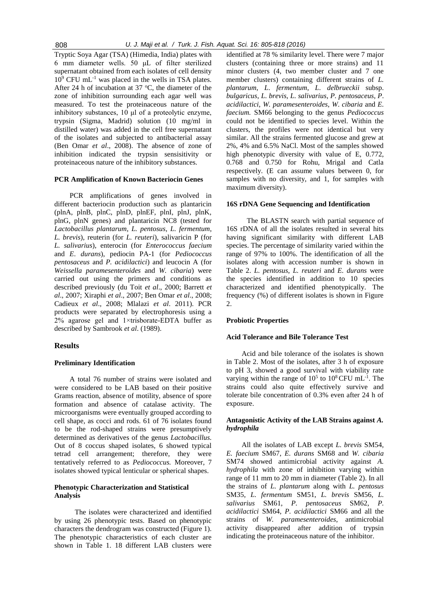Tryptic Soya Agar (TSA) (Himedia, India) plates with 6 mm diameter wells. 50 μL of filter sterilized supernatant obtained from each isolates of cell density  $10^9$  CFU mL<sup>-1</sup> was placed in the wells in TSA plates. After 24 h of incubation at 37  $\degree$ C, the diameter of the zone of inhibition surrounding each agar well was measured. To test the proteinaceous nature of the inhibitory substances, 10 μl of a proteolytic enzyme, trypsin (Sigma, Madrid) solution (10 mg/ml in distilled water) was added in the cell free supernatant of the isolates and subjected to antibacterial assay (Ben Omar *et al*., 2008). The absence of zone of inhibition indicated the trypsin sensisitivity or proteinaceous nature of the inhibitory substances.

#### **PCR Amplification of Known Bacteriocin Genes**

PCR amplifications of genes involved in different bacteriocin production such as plantaricin (plnA, plnB, plnC, plnD, plnEF, plnI, plnJ, plnK, plnG, plnN genes) and plantaricin NC8 (tested for *Lactobacillus plantarum*, *L. pentosus*, *L. fermentum*, *L. brevis*), reuterin (for *L. reuteri*), salivaricin P (for *L. salivarius*), enterocin (for *Enterococcus faecium* and *E*. *durans*), pediocin PA-1 (for *Pediococcus pentosaceus* and *P. acidilactici*) and leucocin A (for *Weissella paramesenteroides* and *W. cibaria*) were carried out using the primers and conditions as described previously (du Toit *et al*., 2000; Barrett *et al*., 2007; Xiraphi *et al*., 2007; Ben Omar *et al*., 2008; Cadieux *et al*., 2008; Mlalazi *et al*. 2011). PCR products were separated by electrophoresis using a 2% agarose gel and 1×trisborate-EDTA buffer as described by Sambrook *et al*. (1989).

#### **Results**

#### **Preliminary Identification**

A total 76 number of strains were isolated and were considered to be LAB based on their positive Grams reaction, absence of motility, absence of spore formation and absence of catalase activity. The microorganisms were eventually grouped according to cell shape, as cocci and rods. 61 of 76 isolates found to be the rod-shaped strains were presumptively determined as derivatives of the genus *Lactobacillus.*  Out of 8 coccus shaped isolates, 6 showed typical tetrad cell arrangement; therefore, they were tentatively referred to as *Pediococcus.* Moreover, 7 isolates showed typical lenticular or spherical shapes.

## **Phenotypic Characterization and Statistical Analysis**

The isolates were characterized and identified by using 26 phenotypic tests. Based on phenotypic characters the dendrogram was constructed (Figure 1). The phenotypic characteristics of each cluster are shown in Table 1. 18 different LAB clusters were

identified at 78 % similarity level. There were 7 major clusters (containing three or more strains) and 11 minor clusters (4, two member cluster and 7 one member clusters) containing different strains of *L. plantarum*, *L*. *fermentum*, *L*. *delbrueckii* subsp. *bulgaricus*, *L*. *brevis*, *L*. *salivarius*, *P. pentosaceus*, *P*. *acidilactici*, *W. paramesenteroides*, *W*. *cibaria* and *E. faecium.* SM66 belonging to the genus *Pediococcus* could not be identified to species level. Within the clusters, the profiles were not identical but very similar. All the strains fermented glucose and grew at 2%, 4% and 6.5% NaCl. Most of the samples showed high phenotypic diversity with value of E, 0.772, 0.768 and 0.750 for Rohu, Mrigal and Catla respectively. (E can assume values between 0, for samples with no diversity, and 1, for samples with maximum diversity).

#### **16S rDNA Gene Sequencing and Identification**

The BLASTN search with partial sequence of 16S rDNA of all the isolates resulted in several hits having significant similarity with different LAB species. The percentage of similarity varied within the range of 97% to 100%. The identification of all the isolates along with accession number is shown in Table 2. *L. pentosus*, *L. reuteri* and *E. durans* were the species identified in addition to 10 species characterized and identified phenotypically. The frequency (%) of different isolates is shown in Figure  $\mathcal{L}$ 

## **Probiotic Properties**

## **Acid Tolerance and Bile Tolerance Test**

Acid and bile tolerance of the isolates is shown in Table 2. Most of the isolates, after 3 h of exposure to pH 3, showed a good survival with viability rate varying within the range of  $10^5$  to  $10^8$  CFU mL<sup>-1</sup>. The strains could also quite effectively survive and tolerate bile concentration of 0.3% even after 24 h of exposure.

## **Antagonistic Activity of the LAB Strains against** *A. hydrophila*

All the isolates of LAB except *L. brevis* SM54, *E. faecium* SM67, *E. durans* SM68 and *W. cibaria*  SM74 showed antimicrobial activity against *A. hydrophila* with zone of inhibition varying within range of 11 mm to 20 mm in diameter (Table 2). In all the strains of *L. plantarum* along with *L. pentosus* SM35, *L. fermentum* SM51, *L. brevis* SM56, *L. salivarius* SM61, *P. pentosaceus* SM62, *P. acidilactici* SM64, *P. acidilactici* SM66 and all the strains of *W. paramesenteroides*, antimicrobial activity disappeared after addition of trypsin indicating the proteinaceous nature of the inhibitor.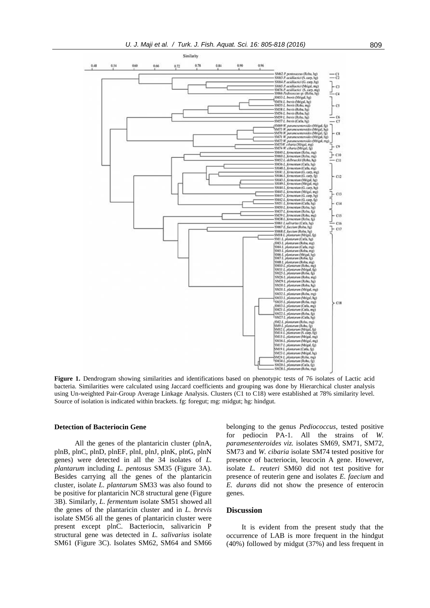

**Figure 1.** Dendrogram showing similarities and identifications based on phenotypic tests of 76 isolates of Lactic acid bacteria. Similarities were calculated using Jaccard coefficients and grouping was done by Hierarchical cluster analysis using Un-weighted Pair-Group Average Linkage Analysis. Clusters (C1 to C18) were established at 78% similarity level. Source of isolation is indicated within brackets. fg: foregut; mg: midgut; hg: hindgut.

#### **Detection of Bacteriocin Gene**

All the genes of the plantaricin cluster (plnA, plnB, plnC, plnD, plnEF, plnI, plnJ, plnK, plnG, plnN genes) were detected in all the 34 isolates of *L. plantarum* including *L. pentosus* SM35 (Figure 3A). Besides carrying all the genes of the plantaricin cluster, isolate *L. plantarum* SM33 was also found to be positive for plantaricin NC8 structural gene (Figure 3B). Similarly, *L. fermentum* isolate SM51 showed all the genes of the plantaricin cluster and in *L. brevis*  isolate SM56 all the genes of plantaricin cluster were present except plnC. Bacteriocin, salivaricin P structural gene was detected in *L. salivarius* isolate SM61 (Figure 3C). Isolates SM62, SM64 and SM66 belonging to the genus *Pediococcus*, tested positive for pediocin PA-1. All the strains of *W. paramesenteroides viz.* isolates SM69, SM71, SM72, SM73 and *W. cibaria* isolate SM74 tested positive for presence of bacteriocin, leucocin A gene. However, isolate *L. reuteri* SM60 did not test positive for presence of reuterin gene and isolates *E. faecium* and *E. durans* did not show the presence of enterocin genes.

#### **Discussion**

It is evident from the present study that the occurrence of LAB is more frequent in the hindgut (40%) followed by midgut (37%) and less frequent in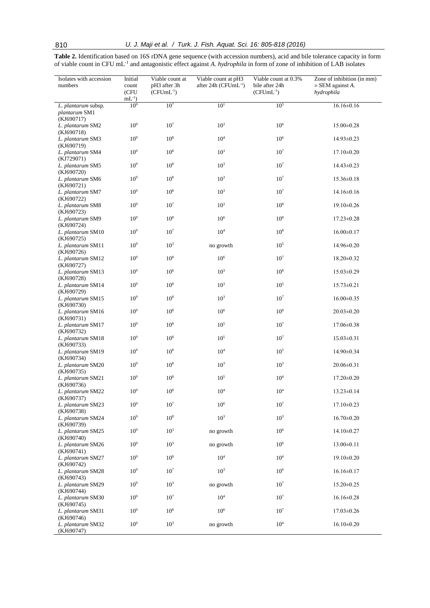**Table 2.** Identification based on 16S rDNA gene sequence (with accession numbers), acid and bile tolerance capacity in form of viable count in CFU mL-1 and antagonistic effect against *A. hydrophila* in form of zone of inhibition of LAB isolates

| Isolates with accession<br>numbers                 | Initial<br>count<br>(CFU | Viable count at<br>pH3 after 3h<br>$(CFUmL^{-1})$ | Viable count at pH3<br>after 24h ( $CFUmL^{-1}$ ) | Viable count at 0.3%<br>bile after 24h<br>$(CFUmL^{-1})$ | Zone of inhibition (in mm)<br>$\pm$ SEM against A.<br>hydrophila |
|----------------------------------------------------|--------------------------|---------------------------------------------------|---------------------------------------------------|----------------------------------------------------------|------------------------------------------------------------------|
|                                                    | $mL^{-1}$                |                                                   |                                                   |                                                          |                                                                  |
| L. plantarum subsp.<br>plantarum SM1<br>(KJ690717) | 10 <sup>9</sup>          | 10 <sup>7</sup>                                   | 10 <sup>1</sup>                                   | $10^{5}$                                                 | $16.16 \pm 0.16$                                                 |
| L. plantarum SM2<br>(KJ690718)                     | 10 <sup>9</sup>          | 10 <sup>7</sup>                                   | $10^{3}$                                          | 10 <sup>6</sup>                                          | 15.00±0.28                                                       |
| L. plantarum SM3<br>(KJ690719)                     | 10 <sup>9</sup>          | $10^{8}$                                          | $10^4\,$                                          | 10 <sup>6</sup>                                          | 14.93±0.23                                                       |
| L. plantarum SM4<br>(KJ729071)                     | 10 <sup>9</sup>          | $10^{8}$                                          | $10^{3}$                                          | 10 <sup>7</sup>                                          | $17.10 \pm 0.20$                                                 |
| L. plantarum SM5<br>(KJ690720)                     | 10 <sup>9</sup>          | $10^{8}$                                          | $10^{3}$                                          | 10 <sup>7</sup>                                          | $14.43 \pm 0.23$                                                 |
| L. plantarum SM6<br>(KJ690721)                     | 10 <sup>9</sup>          | $10^{8}$                                          | $10^{3}$                                          | $10^{7}$                                                 | 15.36±0.18                                                       |
| L. plantarum SM7<br>(KJ690722)                     | 10 <sup>9</sup>          | $10^{8}$                                          | $10^{3}$                                          | 10 <sup>7</sup>                                          | $14.16 \pm 0.16$                                                 |
| L. plantarum SM8<br>(KJ690723)                     | 10 <sup>9</sup>          | 10 <sup>7</sup>                                   | $10^{3}$                                          | 10 <sup>8</sup>                                          | 19.10±0.26                                                       |
| L. plantarum SM9<br>(KJ690724)                     | 10 <sup>9</sup>          | 10 <sup>8</sup>                                   | 10 <sup>6</sup>                                   | 10 <sup>8</sup>                                          | $17.23 \pm 0.28$                                                 |
| L. plantarum SM10<br>(KJ690725)                    | 10 <sup>9</sup>          | 10 <sup>7</sup>                                   | 10 <sup>4</sup>                                   | 10 <sup>8</sup>                                          | $16.00 \pm 0.17$                                                 |
| L. plantarum SM11<br>(KJ690726)                    | 10 <sup>9</sup>          | $10^{3}$                                          | no growth                                         | $10^{5}$                                                 | 14.96±0.20                                                       |
| L. plantarum SM12<br>(KJ690727)                    | 10 <sup>9</sup>          | 10 <sup>8</sup>                                   | 10 <sup>6</sup>                                   | 10 <sup>7</sup>                                          | $18.20 \pm 0.32$                                                 |
| L. plantarum SM13<br>(KJ690728)                    | 10 <sup>9</sup>          | $10^{8}$                                          | 10 <sup>3</sup>                                   | 10 <sup>8</sup>                                          | $15.03 \pm 0.29$                                                 |
| L. plantarum SM14<br>(KJ690729)                    | 10 <sup>9</sup>          | $10^{8}$                                          | $10^{3}$                                          | $10^{5}$                                                 | $15.73 \pm 0.21$                                                 |
| L. plantarum SM15                                  | 10 <sup>9</sup>          | $10^8\,$                                          | 10 <sup>3</sup>                                   | 10 <sup>7</sup>                                          | $16.00 \pm 0.35$                                                 |
| (KJ690730)<br>L. plantarum SM16                    | 10 <sup>9</sup>          | 10 <sup>8</sup>                                   | 10 <sup>6</sup>                                   | 10 <sup>8</sup>                                          | $20.03 \pm 0.20$                                                 |
| (KJ690731)<br>L. plantarum SM17                    | 10 <sup>9</sup>          | 10 <sup>8</sup>                                   | 10 <sup>5</sup>                                   | 10 <sup>7</sup>                                          | $17.06 \pm 0.38$                                                 |
| (KJ690732)<br>L. plantarum SM18                    | 10 <sup>9</sup>          | $10^{8}$                                          | 10 <sup>5</sup>                                   | 10 <sup>7</sup>                                          | $15.03 \pm 0.31$                                                 |
| (KJ690733)<br>L. plantarum SM19                    | 10 <sup>9</sup>          | $10^{8}$                                          | $10^{4}$                                          | $10^{5}$                                                 | 14.90±0.34                                                       |
| (KJ690734)<br>L. plantarum SM20                    | 10 <sup>9</sup>          | $10^{8}$                                          | 10 <sup>3</sup>                                   | 10 <sup>3</sup>                                          | $20.06 \pm 0.31$                                                 |
| (KJ690735)<br>L. plantarum SM21                    | 10 <sup>9</sup>          | $10^{8}$                                          | $10^{5}$                                          | $10^{4}$                                                 | $17.20 \pm 0.20$                                                 |
| (KJ690736)<br>L. plantarum SM22                    | 10 <sup>9</sup>          | $10^8\,$                                          | 10 <sup>4</sup>                                   | $10^{4}$                                                 | $13.23 \pm 0.14$                                                 |
| (KJ690737)<br>L. plantarum SM23<br>(KJ690738)      | 10 <sup>9</sup>          | 10 <sup>7</sup>                                   | 10 <sup>6</sup>                                   | 10 <sup>7</sup>                                          | $17.10 \pm 0.23$                                                 |
| L. plantarum SM24<br>(KJ690739)                    | 10 <sup>9</sup>          | $10^{8}$                                          | 10 <sup>3</sup>                                   | 10 <sup>3</sup>                                          | $16.70 \pm 0.20$                                                 |
| L. plantarum SM25<br>(KJ690740)                    | 10 <sup>9</sup>          | $10^{3}$                                          | no growth                                         | 10 <sup>6</sup>                                          | 14.10±0.27                                                       |
| L. plantarum SM26<br>(KJ690741)                    | 10 <sup>9</sup>          | $10^{3}$                                          | no growth                                         | $10^{6}$                                                 | $13.00 \pm 0.11$                                                 |
| L. plantarum SM27<br>(KJ690742)                    | 10 <sup>9</sup>          | 10 <sup>8</sup>                                   | $10^4$                                            | 10 <sup>4</sup>                                          | 19.10±0.20                                                       |
| L. plantarum SM28<br>(KJ690743)                    | 10 <sup>9</sup>          | $10^{7}$                                          | $10^{3}$                                          | $10^{6}$                                                 | $16.16 \pm 0.17$                                                 |
| L. plantarum SM29<br>(KJ690744)                    | 10 <sup>9</sup>          | $10^{3}$                                          | no growth                                         | 10 <sup>7</sup>                                          | $15.20 \pm 0.25$                                                 |
| L. plantarum SM30<br>(KJ690745)                    | 10 <sup>9</sup>          | $10^{7}$                                          | $10^{4}$                                          | 10 <sup>7</sup>                                          | $16.16 \pm 0.28$                                                 |
| L. plantarum SM31                                  | 10 <sup>9</sup>          | 10 <sup>8</sup>                                   | 10 <sup>6</sup>                                   | 10 <sup>7</sup>                                          | $17.03 \pm 0.26$                                                 |
| (KJ690746)<br>L. plantarum SM32<br>(KJ690747)      | 10 <sup>9</sup>          | $10^{3}$                                          | no growth                                         | 10 <sup>4</sup>                                          | $16.10 \pm 0.20$                                                 |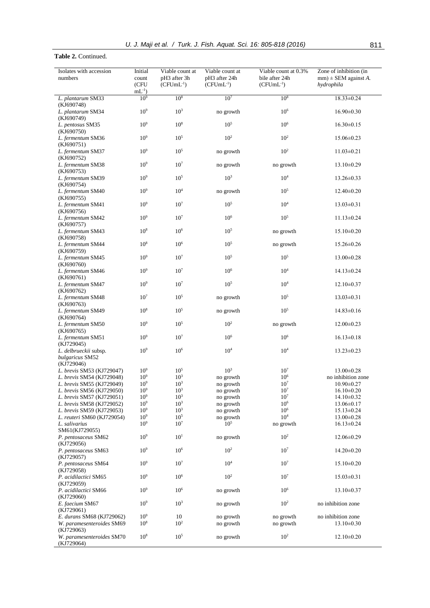## **Table 2.** Continued.

| Isolates with accession<br>numbers                     | Initial<br>count<br>(CFU     | Viable count at<br>pH3 after 3h<br>$(CFUmL^{-1})$ | Viable count at<br>pH3 after 24h<br>$(CFUmL^{-1})$ | Viable count at $\overline{0.3\%}$<br>bile after 24h<br>$(CFUmL^{-1})$ | Zone of inhibition (in<br>$mm) \pm$ SEM against A.<br>hydrophila |
|--------------------------------------------------------|------------------------------|---------------------------------------------------|----------------------------------------------------|------------------------------------------------------------------------|------------------------------------------------------------------|
| L. plantarum SM33                                      | $mL^{-1}$<br>10 <sup>9</sup> | 10 <sup>8</sup>                                   | 10 <sup>7</sup>                                    | $10^{8}$                                                               | $18.33 \pm 0.24$                                                 |
| (KJ690748)                                             | $10^9$                       | $10^{3}$                                          |                                                    | 10 <sup>6</sup>                                                        |                                                                  |
| L. plantarum SM34<br>(KJ690749)                        |                              |                                                   | no growth                                          |                                                                        | $16.90 \pm 0.30$                                                 |
| L. pentosus SM35<br>(KJ690750)                         | 10 <sup>9</sup>              | 10 <sup>8</sup>                                   | $10^{5}$                                           | $10^6\,$                                                               | $16.30 \pm 0.15$                                                 |
| L. fermentum SM36<br>(KJ690751)                        | 10 <sup>9</sup>              | 10 <sup>5</sup>                                   | $10^{2}$                                           | $10^{2}$                                                               | $15.06 \pm 0.23$                                                 |
| L. fermentum SM37<br>(KJ690752)                        | 10 <sup>9</sup>              | 10 <sup>5</sup>                                   | no growth                                          | 10 <sup>2</sup>                                                        | $11.03 \pm 0.21$                                                 |
| L. fermentum SM38<br>(KJ690753)                        | 10 <sup>9</sup>              | 10 <sup>7</sup>                                   | no growth                                          | no growth                                                              | 13.10±0.29                                                       |
| L. fermentum SM39                                      | 10 <sup>9</sup>              | 10 <sup>5</sup>                                   | 10 <sup>3</sup>                                    | $10^{4}$                                                               | 13.26±0.33                                                       |
| (KJ690754)<br>L. fermentum SM40                        | $10^9$                       | 10 <sup>4</sup>                                   | no growth                                          | $10^{5}$                                                               | $12.40 \pm 0.20$                                                 |
| (KJ690755)<br>L. fermentum SM41                        | 10 <sup>9</sup>              | $10^7$                                            | $10^{5}$                                           | $10^{4}$                                                               | $13.03 \pm 0.31$                                                 |
| (KJ690756)<br>L. fermentum SM42                        | 10 <sup>9</sup>              | 10 <sup>7</sup>                                   | 10 <sup>6</sup>                                    | 10 <sup>5</sup>                                                        | $11.13 \pm 0.24$                                                 |
| (KJ690757)<br>L. fermentum SM43                        | $10^{8}$                     | $10^6\,$                                          | $10^{5}$                                           | no growth                                                              | $15.10 \pm 0.20$                                                 |
| (KJ690758)<br>L. fermentum SM44                        | 10 <sup>8</sup>              | $10^{6}$                                          | $10^{5}$                                           | no growth                                                              | 15.26±0.26                                                       |
| (KJ690759)                                             | 10 <sup>9</sup>              | 10 <sup>7</sup>                                   | $10^{5}$                                           | $10^{5}$                                                               |                                                                  |
| L. fermentum SM45<br>(KJ690760)                        |                              |                                                   |                                                    |                                                                        | 13.00±0.28                                                       |
| L. fermentum SM46<br>(KJ690761)                        | 10 <sup>9</sup>              | 10 <sup>7</sup>                                   | 10 <sup>6</sup>                                    | 10 <sup>4</sup>                                                        | $14.13 \pm 0.24$                                                 |
| L. fermentum SM47<br>(KJ690762)                        | 10 <sup>9</sup>              | 10 <sup>7</sup>                                   | $10^{5}$                                           | 10 <sup>4</sup>                                                        | $12.10 \pm 0.37$                                                 |
| L. fermentum SM48<br>(KJ690763)                        | 10 <sup>7</sup>              | 10 <sup>5</sup>                                   | no growth                                          | $10^{5}$                                                               | $13.03 \pm 0.31$                                                 |
| L. fermentum SM49<br>(KJ690764)                        | 10 <sup>8</sup>              | 10 <sup>5</sup>                                   | no growth                                          | 10 <sup>5</sup>                                                        | $14.83 \pm 0.16$                                                 |
| L. fermentum SM50<br>(KJ690765)                        | 10 <sup>9</sup>              | 10 <sup>5</sup>                                   | $10^{2}$                                           | no growth                                                              | $12.00 \pm 0.23$                                                 |
| L. fermentum SM51                                      | 10 <sup>9</sup>              | 10 <sup>7</sup>                                   | 10 <sup>6</sup>                                    | 10 <sup>6</sup>                                                        | $16.13 \pm 0.18$                                                 |
| (KJ729045)<br>L. delbrueckii subsp.                    | 10 <sup>9</sup>              | 10 <sup>6</sup>                                   | $10^{4}$                                           | 10 <sup>4</sup>                                                        | $13.23 \pm 0.23$                                                 |
| bulgaricus SM52<br>(KJ729046)                          |                              |                                                   |                                                    |                                                                        |                                                                  |
| L. brevis SM53 (KJ729047)                              | 10 <sup>9</sup>              | 10 <sup>5</sup>                                   | $10^{3}$                                           | 10 <sup>7</sup>                                                        | $13.00 \pm 0.28$                                                 |
| L. brevis SM54 (KJ729048)                              | 10 <sup>9</sup>              | $10^{3}$                                          | no growth                                          | 10 <sup>6</sup>                                                        | no inhibition zone                                               |
| L. brevis SM55 (KJ729049)                              | 10 <sup>9</sup>              | 10 <sup>3</sup>                                   | no growth                                          | 10 <sup>7</sup>                                                        | $10.90 \pm 0.27$                                                 |
| L. brevis SM56 (KJ729050)                              | 10 <sup>9</sup>              | $10^{3}$                                          | no growth                                          | 10 <sup>7</sup>                                                        | $16.10 \pm 0.20$                                                 |
| L. brevis SM57 (KJ729051)                              | 10 <sup>9</sup>              | 10 <sup>3</sup>                                   | no growth                                          | 10 <sup>7</sup>                                                        | $14.10 \pm 0.32$                                                 |
|                                                        |                              |                                                   |                                                    |                                                                        |                                                                  |
| L. brevis SM58 (KJ729052)                              | 10 <sup>9</sup>              | $10^{3}$                                          | no growth                                          | $10^{6}$                                                               | $13.06 \pm 0.17$                                                 |
| <i>L. brevis</i> SM59 (KJ729053)                       | 10 <sup>9</sup>              | 10 <sup>3</sup>                                   | no growth                                          | 10 <sup>6</sup>                                                        | $15.13 \pm 0.24$                                                 |
| <i>L. reuteri SM60</i> (KJ729054)                      | $10^9$                       | $10^5$                                            | no growth                                          | 10 <sup>4</sup>                                                        | $13.00 \pm 0.28$                                                 |
| L. salivarius<br>SM61(KJ729055)                        | 10 <sup>9</sup>              | 10 <sup>7</sup>                                   | $10^{5}$                                           | no growth                                                              | $16.13 \pm 0.24$                                                 |
| P. pentosaceus SM62<br>(KJ729056)                      | 10 <sup>9</sup>              | 10 <sup>1</sup>                                   | no growth                                          | $10^{2}$                                                               | 12.06±0.29                                                       |
| P. pentosaceus SM63<br>(KJ729057)                      | 10 <sup>9</sup>              | $10^{6}$                                          | $10^{2}$                                           | 10 <sup>7</sup>                                                        | $14.20 \pm 0.20$                                                 |
| P. pentosaceus SM64                                    | 10 <sup>9</sup>              | 10 <sup>7</sup>                                   | 10 <sup>4</sup>                                    | 10 <sup>7</sup>                                                        | $15.10 \pm 0.20$                                                 |
| (KJ729058)<br>P. acidilactici SM65<br>(KJ729059)       | 10 <sup>9</sup>              | 10 <sup>6</sup>                                   | $10^{2}$                                           | 10 <sup>7</sup>                                                        | $15.03 \pm 0.31$                                                 |
| P. acidilactici SM66<br>(KJ729060)                     | 10 <sup>9</sup>              | 10 <sup>6</sup>                                   | no growth                                          | 10 <sup>6</sup>                                                        | 13.10±0.37                                                       |
| E. faecium SM67                                        | 10 <sup>9</sup>              | $10^{3}$                                          | no growth                                          | $10^{2}$                                                               | no inhibition zone                                               |
| (KJ729061)                                             |                              |                                                   |                                                    |                                                                        |                                                                  |
| E. durans SM68 (KJ729062)<br>W. paramesenteroides SM69 | $10^9$<br>10 <sup>8</sup>    | 10<br>$10^{2}$                                    | no growth<br>no growth                             | no growth<br>no growth                                                 | no inhibition zone<br>$13.10 \pm 0.30$                           |
| (KJ729063)<br>W. paramesenteroides SM70                | 10 <sup>8</sup>              | $10^{5}$                                          | no growth                                          | $10^{2}$                                                               | $12.10 \pm 0.20$                                                 |
| (KJ729064)                                             |                              |                                                   |                                                    |                                                                        |                                                                  |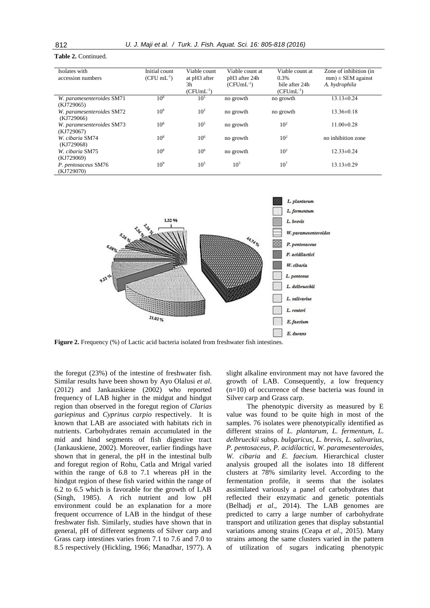#### **Table 2.** Continued.

| Isolates with             | Initial count   | Viable count    | Viable count at           | Viable count at | Zone of inhibition (in |
|---------------------------|-----------------|-----------------|---------------------------|-----------------|------------------------|
| accession numbers         | $(CFU mL^{-1})$ | at pH3 after    | pH <sub>3</sub> after 24h | 0.3%            | $mm) \pm SEM$ against  |
|                           |                 | 3h              | $(CFUmL^{-1})$            | bile after 24h  | A. hydrophila          |
|                           |                 | $(CFUmL^{-1})$  |                           | $(CFUmL^{-1})$  |                        |
| W. paramesenteroides SM71 | 10 <sup>8</sup> | $10^{5}$        | no growth                 | no growth       | $13.13 \pm 0.24$       |
| (KJ729065)                |                 |                 |                           |                 |                        |
| W. paramesenteroides SM72 | 10 <sup>8</sup> | 10 <sup>2</sup> | no growth                 | no growth       | $13.36 \pm 0.18$       |
| (KJ729066)                |                 |                 |                           |                 |                        |
| W. paramesenteroides SM73 | 10 <sup>8</sup> | $10^{5}$        | no growth                 | $10^{2}$        | $11.00 \pm 0.28$       |
| (KJ729067)                |                 |                 |                           |                 |                        |
| W. cibaria SM74           | 10 <sup>8</sup> | $10^{6}$        | no growth                 | $10^{2}$        | no inhibition zone     |
| (KJ729068)                |                 |                 |                           |                 |                        |
| W. cibaria SM75           | 10 <sup>8</sup> | $10^{6}$        | no growth                 | $10^{2}$        | $12.33 \pm 0.24$       |
| (KJ729069)                |                 |                 |                           |                 |                        |
| P. pentosaceus SM76       | 10 <sup>9</sup> | 10 <sup>5</sup> | $10^{3}$                  | $10^{7}$        | $13.13 \pm 0.29$       |
| (KJ729070)                |                 |                 |                           |                 |                        |



**Figure 2.** Frequency (%) of Lactic acid bacteria isolated from freshwater fish intestines.

the foregut (23%) of the intestine of freshwater fish. Similar results have been shown by Ayo Olalusi *et al*. (2012) and Jankauskiene (2002) who reported frequency of LAB higher in the midgut and hindgut region than observed in the foregut region of *Clarias gariepinus* and *Cyprinus carpio* respectively. It is known that LAB are associated with habitats rich in nutrients. Carbohydrates remain accumulated in the mid and hind segments of fish digestive tract (Jankauskiene, 2002). Moreover, earlier findings have shown that in general, the pH in the intestinal bulb and foregut region of Rohu, Catla and Mrigal varied within the range of 6.8 to 7.1 whereas pH in the hindgut region of these fish varied within the range of 6.2 to 6.5 which is favorable for the growth of LAB (Singh, 1985). A rich nutrient and low pH environment could be an explanation for a more frequent occurrence of LAB in the hindgut of these freshwater fish. Similarly, studies have shown that in general, pH of different segments of Silver carp and Grass carp intestines varies from 7.1 to 7.6 and 7.0 to 8.5 respectively (Hickling, 1966; Manadhar, 1977). A slight alkaline environment may not have favored the growth of LAB. Consequently, a low frequency (n=10) of occurrence of these bacteria was found in Silver carp and Grass carp.

The phenotypic diversity as measured by E value was found to be quite high in most of the samples. 76 isolates were phenotypically identified as different strains of *L. plantarum*, *L. fermentum*, *L. delbrueckii* subsp. *bulgaricus*, *L. brevis*, *L. salivarius*, *P. pentosaceus*, *P. acidilactici*, *W. paramesenteroides*, *W. cibaria* and *E. faecium.* Hierarchical cluster analysis grouped all the isolates into 18 different clusters at 78% similarity level. According to the fermentation profile, it seems that the isolates assimilated variously a panel of carbohydrates that reflected their enzymatic and genetic potentials (Belhadj *et al*., 2014). The LAB genomes are predicted to carry a large number of carbohydrate transport and utilization genes that display substantial variations among strains (Ceapa *et al*., 2015). Many strains among the same clusters varied in the pattern of utilization of sugars indicating phenotypic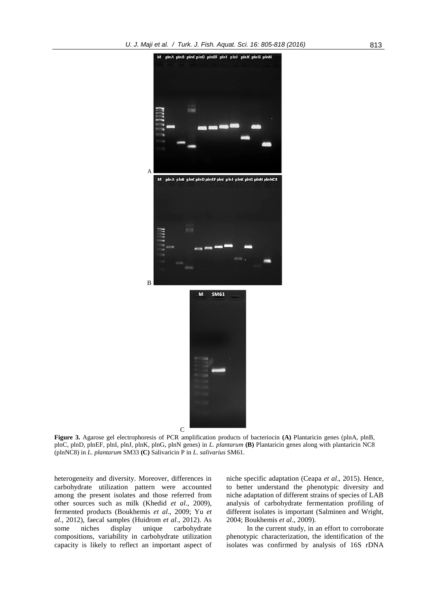

**Figure 3.** Agarose gel electrophoresis of PCR amplification products of bacteriocin **(A)** Plantaricin genes (plnA, plnB, plnC, plnD, plnEF, plnI, plnJ, plnK, plnG, plnN genes) in *L. plantarum* **(B)** Plantaricin genes along with plantaricin NC8 (plnNC8) in *L. plantarum* SM33 **(C)** Salivaricin P in *L. salivarius* SM61.

heterogeneity and diversity. Moreover, differences in carbohydrate utilization pattern were accounted among the present isolates and those referred from other sources such as milk (Khedid *et al*., 2009), fermented products (Boukhemis *et al*., 2009; Yu *et al*., 2012), faecal samples (Huidrom *et al*., 2012). As some niches display unique carbohydrate compositions, variability in carbohydrate utilization capacity is likely to reflect an important aspect of niche specific adaptation (Ceapa *et al*., 2015). Hence, to better understand the phenotypic diversity and niche adaptation of different strains of species of LAB analysis of carbohydrate fermentation profiling of different isolates is important (Salminen and Wright, 2004; Boukhemis *et al*., 2009).

In the current study, in an effort to corroborate phenotypic characterization, the identification of the isolates was confirmed by analysis of 16S rDNA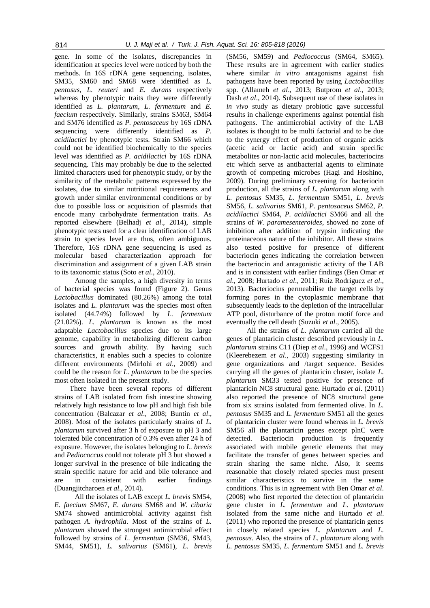gene. In some of the isolates, discrepancies in identification at species level were noticed by both the methods. In 16S rDNA gene sequencing, isolates, SM35, SM60 and SM68 were identified as *L. pentosus*, *L. reuteri* and *E. durans* respectively whereas by phenotypic traits they were differently identified as *L. plantarum*, *L. fermentum* and *E. faecium* respectively. Similarly, strains SM63, SM64 and SM76 identified as *P. pentosaceus* by 16S rDNA sequencing were differently identified as *P. acidilactici* by phenotypic tests. Strain SM66 which could not be identified biochemically to the species level was identified as *P. acidilactici* by 16S rDNA sequencing. This may probably be due to the selected limited characters used for phenotypic study, or by the similarity of the metabolic patterns expressed by the isolates, due to similar nutritional requirements and growth under similar environmental conditions or by due to possible loss or acquisition of plasmids that encode many carbohydrate fermentation traits. As reported elsewhere (Belhadj *et al*., 2014), simple phenotypic tests used for a clear identification of LAB strain to species level are thus, often ambiguous. Therefore, 16S rDNA gene sequencing is used as molecular based characterization approach for discrimination and assignment of a given LAB strain to its taxonomic status (Soto *et al*., 2010).

Among the samples, a high diversity in terms of bacterial species was found (Figure 2). Genus *Lactobacillus* dominated (80.26%) among the total isolates and *L. plantarum* was the species most often isolated (44.74%) followed by *L. fermentum* (21.02%). *L. plantarum* is known as the most adaptable *Lactobacillus* species due to its large genome, capability in metabolizing different carbon sources and growth ability. By having such characteristics, it enables such a species to colonize different environments (Mirlohi *et al*., 2009) and could be the reason for *L. plantarum* to be the species most often isolated in the present study.

There have been several reports of different strains of LAB isolated from fish intestine showing relatively high resistance to low pH and high fish bile concentration (Balcazar *et al*., 2008; Buntin *et al*., 2008). Most of the isolates particularly strains of *L. plantarum* survived after 3 h of exposure to pH 3 and tolerated bile concentration of 0.3% even after 24 h of exposure. However, the isolates belonging to *L. brevis* and *Pediococcus* could not tolerate pH 3 but showed a longer survival in the presence of bile indicating the strain specific nature for acid and bile tolerance and are in consistent with earlier findings (Duangjitcharoen *et al*., 2014).

All the isolates of LAB except *L. brevis* SM54, *E. faecium* SM67, *E. durans* SM68 and *W. cibaria* SM74 showed antimicrobial activity against fish pathogen *A. hydrophila*. Most of the strains of *L. plantarum* showed the strongest antimicrobial effect followed by strains of *L. fermentum* (SM36, SM43, SM44, SM51), *L. salivarius* (SM61), *L. brevis* 

(SM56, SM59) and *Pediococcus* (SM64, SM65). These results are in agreement with earlier studies where similar *in vitro* antagonisms against fish pathogens have been reported by using *Lactobacillus*  spp. (Allameh *et al*., 2013; Butprom *et al*., 2013; Dash *et al*., 2014). Subsequent use of these isolates in *in vivo* study as dietary probiotic gave successful results in challenge experiments against potential fish pathogens. The antimicrobial activity of the LAB isolates is thought to be multi factorial and to be due to the synergy effect of production of organic acids (acetic acid or lactic acid) and strain specific metabolites or non-lactic acid molecules, bacteriocins etc which serve as antibacterial agents to eliminate growth of competing microbes (Hagi and Hoshino, 2009). During preliminary screening for bacteriocin production, all the strains of *L. plantarum* along with *L. pentosus* SM35, *L. fermentum* SM51, *L. brevis* SM56, *L. salivarius* SM61, *P. pentosaceus* SM62, *P. acidilactici* SM64, *P. acidilactici* SM66 and all the strains of *W. paramesenteroides*, showed no zone of inhibition after addition of trypsin indicating the proteinaceous nature of the inhibitor. All these strains also tested positive for presence of different bacteriocin genes indicating the correlation between the bacteriocin and antagonistic activity of the LAB and is in consistent with earlier findings (Ben Omar *et al*., 2008; Hurtado *et al*., 2011; Ruiz Rodriguez *et al*., 2013). Bacteriocins permeabilise the target cells by forming pores in the cytoplasmic membrane that subsequently leads to the depletion of the intracellular ATP pool, disturbance of the proton motif force and eventually the cell death (Suzuki *et al*., 2005).

All the strains of *L. plantarum* carried all the genes of plantaricin cluster described previously in *L. plantarum* strains C11 (Diep *et al*., 1996) and WCFS1 (Kleerebezem *et al*., 2003) suggesting similarity in gene organizations and /target sequence. Besides carrying all the genes of plantaricin cluster, isolate *L. plantarum* SM33 tested positive for presence of plantaricin NC8 structural gene. Hurtado *et al*. (2011) also reported the presence of NC8 structural gene from six strains isolated from fermented olive. In *L. pentosus* SM35 and *L. fermentum* SM51 all the genes of plantaricin cluster were found whereas in *L. brevis*  SM56 all the plantaricin genes except plnC were detected. Bacteriocin production is frequently associated with mobile genetic elements that may facilitate the transfer of genes between species and strain sharing the same niche. Also, it seems reasonable that closely related species must present similar characteristics to survive in the same conditions. This is in agreement with Ben Omar *et al*. (2008) who first reported the detection of plantaricin gene cluster in *L. fermentum* and *L. plantarum*  isolated from the same niche and Hurtado *et al*. (2011) who reported the presence of plantaricin genes in closely related species *L. plantarum* and *L. pentosus*. Also, the strains of *L. plantarum* along with *L. pentosus* SM35, *L. fermentum* SM51 and *L. brevis*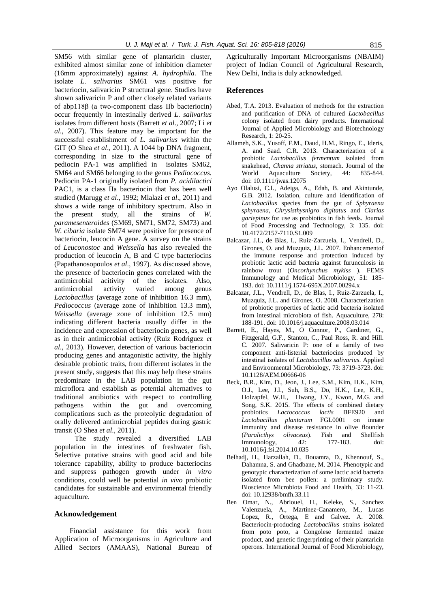SM56 with similar gene of plantaricin cluster, exhibited almost similar zone of inhibition diameter (16mm approximately) against *A. hydrophila.* The isolate *L. salivarius* SM61 was positive for bacteriocin, salivaricin P structural gene. Studies have shown salivaricin P and other closely related variants of abp118β (a two-component class IIb bacteriocin) occur frequently in intestinally derived *L. salivarius*  isolates from different hosts (Barrett *et al*., 2007; Li *et al*., 2007). This feature may be important for the successful establishment of *L. salivarius* within the GIT (O Shea *et al*., 2011). A 1044 bp DNA fragment, corresponding in size to the structural gene of pediocin PA-1 was amplified in isolates SM62, SM64 and SM66 belonging to the genus *Pediococcus.*  Pediocin PA-1 originally isolated from *P. acidilactici*  PAC1, is a class IIa bacteriocin that has been well studied (Marugg *et al*., 1992; Mlalazi *et al*., 2011) and shows a wide range of inhibitory spectrum. Also in the present study, all the strains of *W. paramesenteroides* (SM69, SM71, SM72, SM73) and *W. cibaria* isolate SM74 were positive for presence of bacteriocin, leucocin A gene. A survey on the strains of *Leuconostoc* and *Weissella* has also revealed the production of leucocin A, B and C type bacteriocins (Papathanosopoulos *et al*., 1997). As discussed above, the presence of bacteriocin genes correlated with the antimicrobial acitivity of the isolates. Also, antimicrobial activity varied among genus *Lactobacillus* (average zone of inhibition 16.3 mm), *Pediococcus* (average zone of inhibition 13.3 mm), *Weissella* (average zone of inhibition 12.5 mm) indicating different bacteria usually differ in the incidence and expression of bacteriocin genes, as well as in their antimicrobial activity (Ruiz Rodriguez *et al*., 2013). However, detection of various bacteriocin producing genes and antagonistic activity, the highly desirable probiotic traits, from different isolates in the present study, suggests that this may help these strains predominate in the LAB population in the gut microflora and establish as potential alternatives to traditional antibiotics with respect to controlling pathogens within the gut and overcoming complications such as the proteolytic degradation of orally delivered antimicrobial peptides during gastric transit (O Shea *et al*., 2011).

The study revealed a diversified LAB population in the intestines of freshwater fish. Selective putative strains with good acid and bile tolerance capability, ability to produce bacteriocins and suppress pathogen growth under *in vitro* conditions, could well be potential *in vivo* probiotic candidates for sustainable and environmental friendly aquaculture.

#### **Acknowledgement**

Financial assistance for this work from Application of Microorganisms in Agriculture and Allied Sectors (AMAAS), National Bureau of Agriculturally Important Microorganisms (NBAIM) project of Indian Council of Agricultural Research, New Delhi, India is duly acknowledged.

## **References**

- Abed, T.A. 2013. Evaluation of methods for the extraction and purification of DNA of cultured *Lactobacillus* colony isolated from dairy products. International Journal of Applied Microbiology and Biotechnology Research, 1: 20-25.
- Allameh, S.K., Yusoff, F.M., Daud, H.M., Ringo, E., Ideris, A. and Saad. C.R. 2013. Characterization of a probiotic *Lactobacillus fermentum* isolated from snakehead, *Channa striatus*, stomach. Journal of the World Aquaculture Society, 44: 835-844. doi: 10.1111/jwas.12075
- Ayo Olalusi, C.I., Adeiga, A., Edah, B. and Akintunde, G.B. 2012. Isolation, culture and identification of *Lactobacillus* species from the gut of *Sphyraena sphyraena*, *Chrysisthysnigro digitatus* and *Clarias gariepinus* for use as probiotics in fish feeds. Journal of Food Processing and Technology, 3: 135. doi: 10.4172/2157-7110.S1.009
- Balcazar, J.L, de Blas, I., Ruiz-Zarzuela, I., Vendrell, D., Girones, O. and Muzquiz, J.L. 2007. Enhancementof the immune response and protection induced by probiotic lactic acid bacteria against furunculosis in rainbow trout (*Oncorhynchus mykiss* ). FEMS Immunology and Medical Microbiology, 51: 185- 193. doi: 10.1111/j.1574-695X.2007.00294.x
- Balcazar, J.L., Vendrell, D., de Blas, I., Ruiz-Zarzuela, I., Muzquiz, J.L. and Girones, O. 2008. Characterization of probiotic properties of lactic acid bacteria isolated from intestinal microbiota of fish. Aquaculture, 278: 188-191[. doi: 10.1016/j.aquaculture.2008.03.014](http://dx.doi.org/10.1016/j.aquaculture.2008.03.014)
- Barrett, E., Hayes, M., O Connor, P., Gardiner, G., Fitzgerald, G.F., Stanton, C., Paul Ross, R. and Hill. C. 2007. Salivaricin P: one of a family of two component anti-listerial bacteriocins produced by intestinal isolates of *Lactobacillus salivarius*. Applied and Environmental Microbiology, 73: 3719-3723. doi: 10.1128/AEM.00666-06
- Beck, B.R., Kim, D., Jeon, J., Lee, S.M., Kim, H.K., Kim, O.J., Lee, J.I., Suh, B.S., Do, H.K., Lee, K.H., Holzapfel, W.H., Hwang, J.Y., Kwon, M.G. and Song, S.K. 2015. The effects of combined dietary probiotics *Lactococcus lactis* BFE920 and *Lactobacillus plantarum* FGL0001 on innate immunity and disease resistance in olive flounder (*Paralicthys olivaceus*). Fish and Shellfish Immunology, 42: 177-183. doi: 10.1016/j.fsi.2014.10.035
- Belhadj, H., Harzallah, D., Bouamra, D., Khennouf, S., Dahamna, S. and Ghadbane, M. 2014. Phenotypic and genotypic characterization of some lactic acid bacteria isolated from bee pollen: a preliminary study. Bioscience Microbiota Food and Health, 33: 11-23. doi: 10.12938/bmfh.33.11
- Ben Omar, N., Abriouel, H., Keleke, S., Sanchez Valenzuela, A., Martinez-Canamero, M., Lucas Lopez, R., Ortega, E and Galvez. A. 2008. Bacteriocin-producing *Lactobacillus* strains isolated from poto poto, a Congolese fermented maize product, and genetic fingerprinting of their plantaricin operons. International Journal of Food Microbiology,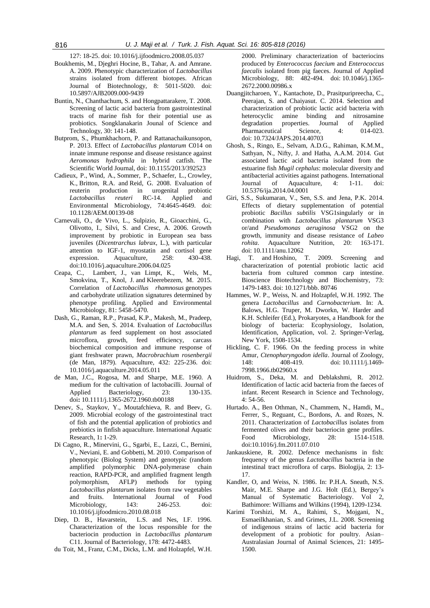127: 18-25. doi: 10.1016/j.ijfoodmicro.2008.05.037

- Boukhemis, M., Djeghri Hocine, B., Tahar, A. and Amrane. A. 2009. Phenotypic characterization of *Lactobacillus*  strains isolated from different biotopes. African Journal of Biotechnology, 8: 5011-5020. doi: 10.5897/AJB2009.000-9439
- Buntin, N., Chanthachum, S. and Hongpattarakere, T. 2008. Screening of lactic acid bacteria from gastrointestinal tracts of marine fish for their potential use as probiotics. Songklanakarin Jounal of Science and Technology, 30: 141-148.
- Butprom, S., Phumkhachorn, P. and Rattanachaikunsopon, P. 2013. Effect of *Lactobacillus plantarum* C014 on innate immune response and disease resistance against *Aeromonas hydrophila* in hybrid catfish. The Scientific World Journal, doi: 10.1155/2013/392523
- [Cadieux, P.](http://www.ncbi.nlm.nih.gov/pubmed/?term=Cadieux%20P%5BAuthor%5D&cauthor=true&cauthor_uid=18539802), [Wind, A.,](http://www.ncbi.nlm.nih.gov/pubmed/?term=Wind%20A%5BAuthor%5D&cauthor=true&cauthor_uid=18539802) [Sommer, P.,](http://www.ncbi.nlm.nih.gov/pubmed/?term=Sommer%20P%5BAuthor%5D&cauthor=true&cauthor_uid=18539802) [Schaefer, L.,](http://www.ncbi.nlm.nih.gov/pubmed/?term=Schaefer%20L%5BAuthor%5D&cauthor=true&cauthor_uid=18539802) [Crowley,](http://www.ncbi.nlm.nih.gov/pubmed/?term=Crowley%20K%5BAuthor%5D&cauthor=true&cauthor_uid=18539802)  [K.](http://www.ncbi.nlm.nih.gov/pubmed/?term=Crowley%20K%5BAuthor%5D&cauthor=true&cauthor_uid=18539802), [Britton, R.A.](http://www.ncbi.nlm.nih.gov/pubmed/?term=Britton%20RA%5BAuthor%5D&cauthor=true&cauthor_uid=18539802) and [Reid, G.](http://www.ncbi.nlm.nih.gov/pubmed/?term=Reid%20G%5BAuthor%5D&cauthor=true&cauthor_uid=18539802) 2008. Evaluation of reuterin production in urogenital probiotic *Lactobacillus reuteri* RC-14. [Applied and](http://www.ncbi.nlm.nih.gov/pubmed/18539802)  [Environmental Microbiology,](http://www.ncbi.nlm.nih.gov/pubmed/18539802) 74:4645-4649. doi: 10.1128/AEM.00139-08
- Carnevali, O., de Vivo, L., Sulpizio, R., Gioacchini, G., Olivotto, I., Silvi, S. and Cresc, A. 2006. Growth improvement by probiotic in European sea bass juveniles (*Dicentrarchus labrax*, L.), with particular attention to IGF-1, myostatin and cortisol gene expression. Aquaculture, 258: 430-438. [doi:10.1016/j.aquaculture.2006.04.025](http://dx.doi.org/10.1016/j.aquaculture.2006.04.025)
- [Ceapa,](http://www.ncbi.nlm.nih.gov/pubmed/?term=Ceapa%20C%5Bauth%5D) C., [Lambert,](http://www.ncbi.nlm.nih.gov/pubmed/?term=Lambert%20J%5Bauth%5D) J., [van Limpt,](http://www.ncbi.nlm.nih.gov/pubmed/?term=van%20Limpt%20K%5Bauth%5D) K., [Wels,](http://www.ncbi.nlm.nih.gov/pubmed/?term=Wels%20M%5Bauth%5D) M.[,](http://www.ncbi.nlm.nih.gov/pubmed/?term=Smokvina%20T%5Bauth%5D)  [Smokvina,](http://www.ncbi.nlm.nih.gov/pubmed/?term=Smokvina%20T%5Bauth%5D) T., [Knol,](http://www.ncbi.nlm.nih.gov/pubmed/?term=Knol%20J%5Bauth%5D) J. and [Kleerebezem,](http://www.ncbi.nlm.nih.gov/pubmed/?term=Kleerebezem%20M%5Bauth%5D) M. 2015. Correlation of *Lactobacillus rhamnosus* genotypes and carbohydrate utilization signatures determined by phenotype profiling. Applied and Environmental Microbiology, 81: 5458-5470.
- Dash, G., Raman, R.P., Prasad, K.P., Makesh, M., Pradeep, M.A. and Sen, S. 2014. Evaluation of *Lactobacillus plantarum* as feed supplement on host associated microflora, growth, feed efficiency, carcass biochemical composition and immune response of giant freshwater prawn, *Macrobrachium rosenbergii* (de Man, 1879). Aquaculture, 432: 225-236. doi: 10.1016/j.aquaculture.2014.05.011
- de Man, J.C., Rogosa, M. and Sharpe, M.E. 1960. A medium for the cultivation of lactobacilli. Journal of Applied Bacteriology, 23: 130-135. doi**:** 10.1111/j.1365-2672.1960.tb00188
- Denev, S., Staykov, Y., Moutafchieva, R. and Beev, G. 2009. Microbial ecology of the gastrointestinal tract of fish and the potential application of probiotics and prebiotics in finfish aquaculture. International Aquatic Research, 1**:** 1-29.
- Di Cagno, R., Minervini, G., Sgarbi, E., Lazzi, C., Bernini, V., Neviani, E. and Gobbetti, M. 2010. Comparison of phenotypic (Biolog System) and genotypic (random amplified polymorphic DNA-polymerase chain reaction, RAPD-PCR, and amplified fragment length polymorphism, AFLP) methods for typing *Lactobacillus plantarum* isolates from raw vegetables and fruits. International Journal of Food Microbiology, 143: 246-253. doi: 10.1016/j.ijfoodmicro.2010.08.018
- Diep, D. B., Havarstein, L.S. and Nes, I.F. 1996. Characterization of the locus responsible for the bacteriocin production in *Lactobacillus plantarum* C11. Journal of Bacteriology, 178: 4472-4483.
- [du Toit, M.,](http://www.ncbi.nlm.nih.gov/pubmed/?term=du%20Toit%20M%5BAuthor%5D&cauthor=true&cauthor_uid=10747229) [Franz, C.M.](http://www.ncbi.nlm.nih.gov/pubmed/?term=Franz%20CM%5BAuthor%5D&cauthor=true&cauthor_uid=10747229), [Dicks, L.M.](http://www.ncbi.nlm.nih.gov/pubmed/?term=Dicks%20LM%5BAuthor%5D&cauthor=true&cauthor_uid=10747229) and [Holzapfel, W.H.](http://www.ncbi.nlm.nih.gov/pubmed/?term=Holzapfel%20WH%5BAuthor%5D&cauthor=true&cauthor_uid=10747229)

2000. Preliminary characterization of bacteriocins produced by *Enterococcus faecium* and *Enterococcus faecalis* isolated from pig faeces. Journal of Applied Microbiology, 88: 482-494. doi: 10.1046/j.1365- 2672.2000.00986.x

- Duangjitcharoen, Y., Kantachote, D., Prasitpuripreecha, C., Peerajan, S. and Chaiyasut. C. 2014. Selection and characterization of probiotic lactic acid bacteria with heterocyclic amine binding and nitrosamine degradation properties. Journal of Applied Pharmaceutical Science, 4: 014-023. doi: [10.7324/JAPS.2014.40703](http://dx.doi.org/10.7324/JAPS.2014.40703)
- Ghosh, S., Ringo, E., Selvam, A.D.G., Rahiman, K.M.M., Sathyan, N., Nifty, J. and Hatha, A.A.M. 2014. Gut associated lactic acid bacteria isolated from the estuarine fish *Mugil cephalus*: molecular diversity and antibacterial activities against pathogens. International Journal of Aquaculture, 4: 1-11. doi: 10.5376/ija.2014.04.0001
- Giri, S.S., Sukumaran, V., Sen, S.S. and Jena, P.K. 2014. Effects of dietary supplementation of potential probiotic *Bacillus subtilis* VSG1singularly or in combination with *Lactobacillus plantarum* VSG3 or/and *Pseudomonas aeruginosa* VSG2 on the growth, immunity and disease resistance of *Labeo rohita*. Aquaculture Nutrition, 20: 163-171. doi: 10.1111/anu.12062
- [Hagi, T.](http://www.ncbi.nlm.nih.gov/pubmed/?term=Hagi%20T%5BAuthor%5D&cauthor=true&cauthor_uid=19584561) and [Hoshino, T.](http://www.ncbi.nlm.nih.gov/pubmed/?term=Hoshino%20T%5BAuthor%5D&cauthor=true&cauthor_uid=19584561) 2009. Screening and characterization of potential probiotic lactic acid bacteria from cultured common carp intestine. [Bioscience Biotechnology and Biochemistry,](http://www.ncbi.nlm.nih.gov/pubmed/19584561) 73: 1479-1483. doi: 10.1271/bbb. 80746
- Hammes, W. P., Weiss, N. and Holzapfel, W.H. 1992. The genera *Lactobacillus* and *Carnobacterium*. In: A. Balows, H.G. Truper, M. Dworkn, W. Harder and K.H. Schleifer (Ed.), Prokaryotes, a Handbook for the biology of bacteria: Ecophysiology, Isolation, Identification, Application, vol. 2. Springer-Verlag, New York, 1508-1534.
- Hickling, C. F. 1966. On the feeding process in white Amur, *Ctenopharyngodon idella*. Journal of Zoology, 148: 408-419. doi: 10.1111/j.1469-7998.1966.tb02960.x
- Huidrom, S., Deka, M. and Deblakshmi, R. 2012. Identification of lactic acid bacteria from the faeces of infant. Recent Research in Science and Technology, 4: 54-56.
- Hurtado. A., Ben Othman, N., Chammem, N., Hamdi, M., Ferrer, S., Reguant, C., Bordons, A. and Rozes, N. 2011. Characterization of *Lactobacillus* isolates from fermented olives and their bacteriocin gene profiles. Food Microbiology, 28: 1514-1518. doi:10.1016/j.fm.2011.07.010
- Jankauskiene, R. 2002. Defence mechanisms in fish: frequency of the genus *Lactobacillus* bacteria in the intestinal tract microflora of carps. Biologija, 2: 13- 17.
- Kandler, O, and Weiss, N. 1986. In: P.H.A. Sneath, N.S. Mair, M.E. Sharpe and J.G. Holt (Ed.), Bergey's Manual of Systematic Bacteriology. Vol 2, Bathimore: Williams and Wilkins (1994), 1209-1234.
- Karimi Torshizi, M. A., Rahimi, S., Mojgani, N., Esmaeilkhanian, S. and Grimes, J.L. 2008. Screening of indigenous strains of lactic acid bacteria for development of a probiotic for poultry. Asian– Australasian Journal of Animal Sciences, 21: 1495- 1500.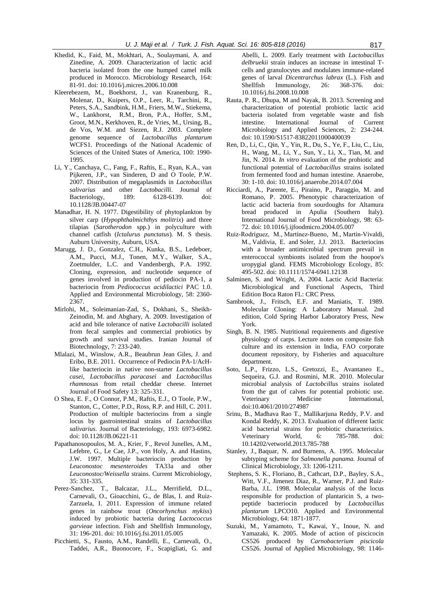- Khedid, K., Faid, M., Mokhtari, A., Soulaymani, A. and Zinedine, A. 2009. Characterization of lactic acid bacteria isolated from the one humped camel milk produced in Morocco. Microbiology Research, 164: 81-91. [doi: 10.1016/j.micres.2006.10.008](http://dx.doi.org/10.1016/j.micres.2006.10.008)
- Kleerebezem, M., Boekhorst, J., van Kranenburg, R., Molenar, D., Kuipers, O.P., Leer, R., Tarchini, R., Peters, S.A., Sandbink, H.M., Friers, M.W., Stiekema, W., Lankhorst, R.M., Bron, P.A., Hoffer, S.M., Groot, M.N., Kerkhoven, R., de Vries, M., Ursing, B., de Vos, W.M. and Siezen, R.J. 2003. Complete genome sequence of *Lactobacillus plantarum* WCFS1. Proceedings of the National Academic of Sciences of the United States of America, 100: 1990- 1995.
- Li, Y., Canchaya, C., Fang, F., Raftis, E., Ryan, K.A., van Pijkeren, J.P., van Sinderen, D and O Toole, P.W. 2007. Distribution of megaplasmids in *Lactobacillus salivarius* and other *Lactobacilli*. Journal of Bacteriology, 189: 6128-6139. doi: 10.1128/JB.00447-07
- Manadhar, H. N. 1977. Digestibility of phytoplankton by silver carp (*Hypophthalmichthys molitrix*) and three tilapias (*Sarotherodon* spp.) in polyculture with channel catfish (*Ictalurus punctatus*). M. S thesis. Auburn University, Auburn, USA.
- Marugg, J. D., Gonzalez, C.H., Kunka, B.S., Ledeboer, A.M., Pucci, M.J., Tonen, M.Y., Walker, S.A., Zoetmulder, L.C. and Vandenbergh, P.A. 1992. Cloning, expression, and nucleotide sequence of genes involved in production of pediocin PA-1, a bacteriocin from *Pediococcus acidilactici* PAC 1.0. Applied and Environmental Microbiology, 58: 2360- 2367.
- Mirlohi, M., Soleimanian-Zad, S., Dokhani, S., Sheikh-Zeinodin, M. and Abghary, A. 2009. Investigation of acid and bile tolerance of native *Lactobacilli* isolated from fecal samples and commercial probiotics by growth and survival studies. Iranian Journal of Biotechnology, 7: 233-240.
- Mlalazi, M., Winslow, A.R., Beaubrun Jean Giles, J. and Eribo, B.E. 2011. Occurrence of Pediocin PA-1/AcHlike bacteriocin in native non-starter *Lactobacillus casei*, *Lactobacillus paracasei* and *Lactobacillus rhamnosus* from retail cheddar cheese. Internet Journal of Food Safety 13: 325-331.
- O Shea, E. F., O Connor, P.M., Raftis, E.J., O Toole, P.W., Stanton, C., Cotter, P.D., Ross, R.P. and Hill, C. 2011. Production of multiple bacteriocins from a single locus by gastrointestinal strains of *Lactobacillus salivarius*. Journal of Bacteriology, 193: 6973-6982. doi: 10.1128/JB.06221-11
- Papathanosopoulos, M. A., Krier, F., Revol Junelles, A.M., Lefebre, G., Le Cae, J.P., von Holy, A. and Hastins, J.W. 1997. Multiple bacteriocin production by *Leuconostoc mesenteroides* TA33a and other *Leuconostoc/Weissella* strains. Current Microbiology, 35: 331-335.
- [Perez-Sanchez, T.](http://www.ncbi.nlm.nih.gov/pubmed/?term=P%C3%A9rez-S%C3%A1nchez%20T%5BAuthor%5D&cauthor=true&cauthor_uid=21620974), [Balcazar, J.L.,](http://www.ncbi.nlm.nih.gov/pubmed/?term=Balc%C3%A1zar%20JL%5BAuthor%5D&cauthor=true&cauthor_uid=21620974) [Merrifield, D.L.](http://www.ncbi.nlm.nih.gov/pubmed/?term=Merrifield%20DL%5BAuthor%5D&cauthor=true&cauthor_uid=21620974), [Carnevali, O.](http://www.ncbi.nlm.nih.gov/pubmed/?term=Carnevali%20O%5BAuthor%5D&cauthor=true&cauthor_uid=21620974), [Gioacchini, G.,](http://www.ncbi.nlm.nih.gov/pubmed/?term=Gioacchini%20G%5BAuthor%5D&cauthor=true&cauthor_uid=21620974) [de Blas, I.](http://www.ncbi.nlm.nih.gov/pubmed/?term=de%20Blas%20I%5BAuthor%5D&cauthor=true&cauthor_uid=21620974) and [Ruiz-](http://www.ncbi.nlm.nih.gov/pubmed/?term=Ruiz-Zarzuela%20I%5BAuthor%5D&cauthor=true&cauthor_uid=21620974)[Zarzuela, I.](http://www.ncbi.nlm.nih.gov/pubmed/?term=Ruiz-Zarzuela%20I%5BAuthor%5D&cauthor=true&cauthor_uid=21620974) 2011. Expression of immune related genes in rainbow trout (*Oncorhynchus mykiss*) induced by probiotic bacteria during *Lactococcus garvieae* infection. Fish and Shellfish Immunology, 31: 196-201. doi: 10.1016/j.fsi.2011.05.005
- Picchietti, S., Fausto, A.M., Randelli, E., Carnevali, O., Taddei, A.R., Buonocore, F., Scapigliati, G. and

Abelli, L. 2009. Early treatment with *Lactobacillus delbruekii* strain induces an increase in intestinal Tcells and granulocytes and modulates immune-related genes of larval *Dicentrarchus labrax* (L.). Fish and Shellfish Immunology, 26: 368-376. doi: 10.1016/j.fsi.2008.10.008

- Rauta, P. R., Dhupa, M and Nayak, B. 2013. Screening and characterization of potential probiotic lactic acid bacteria isolated from vegetable waste and fish intestine. International Journal of Current Microbiology and Applied Sciences, 2: 234-244. doi: 10.1590/S1517-83822011000400039
- Ren, D., Li, C., Qin, Y., Yin, R., Du, S., Ye, F., Liu, C., Liu, H., Wang, M., Li, Y., Sun, Y., Li, X., Tian, M. and Jin, N. 2014. *In vitro* evaluation of the probiotic and functional potential of *Lactobacillus* strains isolated from fermented food and human intestine. Anaerobe, 30: 1-10. doi: 10.1016/j.anaerobe.2014.07.004
- Ricciardi, A., Parente, E., Piraino, P., Paraggio, M. and Romano, P. 2005. Phenotypic characterization of lactic acid bacteria from sourdoughs for Altamura bread produced in Apulia (Southern Italy). International Journal of Food Microbiology, 98: 63- 72[. doi: 10.1016/j.ijfoodmicro.2004.05.007](http://dx.doi.org/10.1016/j.ijfoodmicro.2004.05.007)
- [Ruiz-Rodríguez, M.,](http://www.ncbi.nlm.nih.gov/pubmed/?term=Ruiz-Rodr%C3%ADguez%20M%5BAuthor%5D&cauthor=true&cauthor_uid=23621827) [Martínez-Bueno, M.](http://www.ncbi.nlm.nih.gov/pubmed/?term=Mart%C3%ADnez-Bueno%20M%5BAuthor%5D&cauthor=true&cauthor_uid=23621827), [Martín-Vivaldi,](http://www.ncbi.nlm.nih.gov/pubmed/?term=Mart%C3%ADn-Vivaldi%20M%5BAuthor%5D&cauthor=true&cauthor_uid=23621827)  [M.](http://www.ncbi.nlm.nih.gov/pubmed/?term=Mart%C3%ADn-Vivaldi%20M%5BAuthor%5D&cauthor=true&cauthor_uid=23621827), [Valdivia, E.](http://www.ncbi.nlm.nih.gov/pubmed/?term=Valdivia%20E%5BAuthor%5D&cauthor=true&cauthor_uid=23621827) and [Soler, J.J.](http://www.ncbi.nlm.nih.gov/pubmed/?term=Soler%20JJ%5BAuthor%5D&cauthor=true&cauthor_uid=23621827) 2013. Bacteriocins with a broader antimicrobial spectrum prevail in enterococcal symbionts isolated from the hoopoe's uropygial gland. FEMS Microbiology Ecology, 85: 495-502. doi: 10.1111/1574-6941.12138
- Salminen, S. and Wright, A. 2004. Lactic Acid Bacteria: Microbiological and Functional Aspects, Third Edition Boca Raton FL: CRC Press.
- Sambrook, J., Fritsch, E.F. and Maniatis, T. 1989. Molecular Cloning: A Laboratory Manual. 2nd edition, Cold Spring Harbor Laboratory Press, New York.
- Singh, B. N. 1985. Nutritional requirements and digestive physiology of carps. Lecture notes on composite fish culture and its extension in India, FAO corporate document repository, by Fisheries and aquaculture department.
- Soto, L.P., Frizzo, L.S., Gretozzi, E., Avantaneo E., Sequeira, G.J. and Rosmini, M.R. 2010. Molecular microbial analysis of *Lactobcillus* strains isolated from the gut of calves for potential probiotic use. Veterinary Medicine International, doi:10.4061/2010/274987
- Srinu, B., Madhava Rao T., Mallikarjuna Reddy, P.V. and Kondal Reddy, K. 2013. Evaluation of different lactic acid bacterial strains for probiotic characteristics. Veterinary World, 6: 785-788. doi: 10.14202/vetworld.2013.785-788
- [Stanley, J.](http://www.ncbi.nlm.nih.gov/pubmed/?term=Stanley%20J%5BAuthor%5D&cauthor=true&cauthor_uid=7542265), [Baquar, N.](http://www.ncbi.nlm.nih.gov/pubmed/?term=Baquar%20N%5BAuthor%5D&cauthor=true&cauthor_uid=7542265) and [Burnens, A.](http://www.ncbi.nlm.nih.gov/pubmed/?term=Burnens%20A%5BAuthor%5D&cauthor=true&cauthor_uid=7542265) 1995. Molecular subtyping scheme for *Salmonella panama.* Journal of Clinical Microbiology, 33: 1206-1211.
- Stephens, S. K., Floriano, B., Cathcart, D.P., Bayley, S.A., Witt, V.F., Jimenez Diaz, R., Warner, P.J. and Ruiz-Barba, J.L. 1998. Molecular analysis of the locus responsible for production of plantaricin S, a twopeptide bacteriocin produced by *Lactobacillus plantarum* LPCO10. Applied and Environmental Microbiology, 64: 1871-1877.
- Suzuki, M., Yamamoto, T., Kawai, Y., Inoue, N. and Yamazaki, K. 2005. Mode of action of piscicocin CS526 produced by *Carnobacterium piscicola* CS526. Journal of Applied Microbiology, 98: 1146-